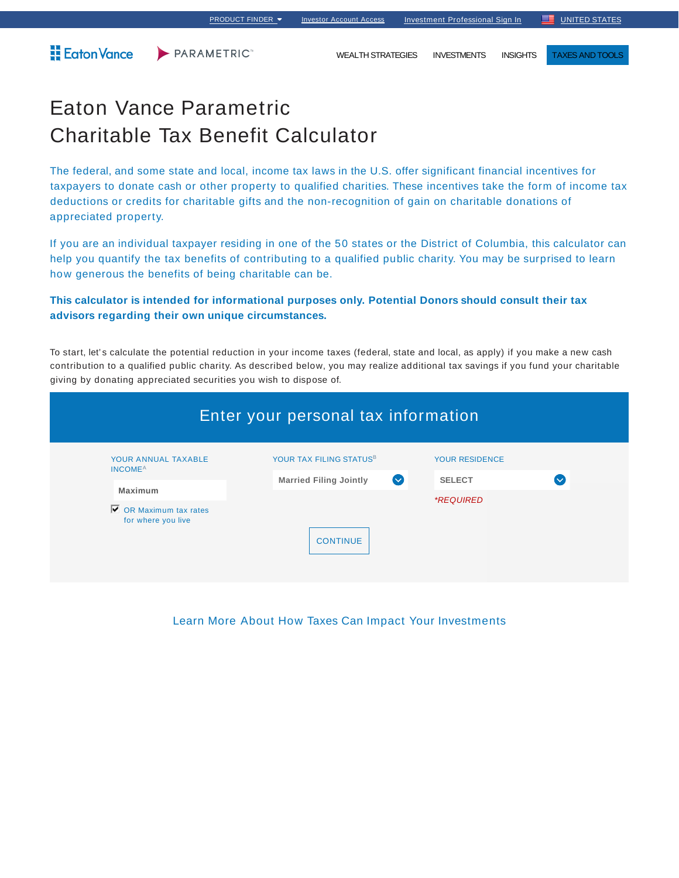Eaton Vance

PARAMETRIC<sup>\*</sup>

WEALTH STRATEGIES INVESTMENTS INSIGHTS TAXES AND TOOLS

## Eaton Vance Parametric Charitable Tax Benefit Calculator

The federal, and some state and local, income tax laws in the U.S. offer significant financial incentives for taxpayers to donate cash or other property to qualified charities. These incentives take the form of income tax deductions or credits for charitable gifts and the non-recognition of gain on charitable donations of appreciated property.

If you are an individual taxpayer residing in one of the 50 states or the District of Columbia, this calculator can help you quantify the tax benefits of contributing to a qualified public charity. You may be surprised to learn how generous the benefits of being charitable can be.

## **This calculator is intended for informational purposes only. Potential Donors should consult their tax advisors regarding their own unique circumstances.**

To start, let's calculate the potential reduction in your income taxes (federal, state and local, as apply) if you make a new cash contribution to a qualified public charity. As described below, you may realize additional tax savings if you fund your charitable giving by donating appreciated securities you wish to dispose of.

| Enter your personal tax information              |                                                      |                         |              |  |  |  |
|--------------------------------------------------|------------------------------------------------------|-------------------------|--------------|--|--|--|
| YOUR ANNUAL TAXABLE<br><b>INCOME<sup>A</sup></b> | YOUR TAX FILING STATUS <sup>B</sup>                  | <b>YOUR RESIDENCE</b>   |              |  |  |  |
| <b>Maximum</b>                                   | <b>Married Filing Jointly</b><br>$\left(\vee\right)$ | <b>SELECT</b>           | $\checkmark$ |  |  |  |
| ⊽<br>OR Maximum tax rates<br>for where you live  | <b>CONTINUE</b>                                      | <i><b>*REQUIRED</b></i> |              |  |  |  |

Learn More About How Taxes Can Impact Your Investments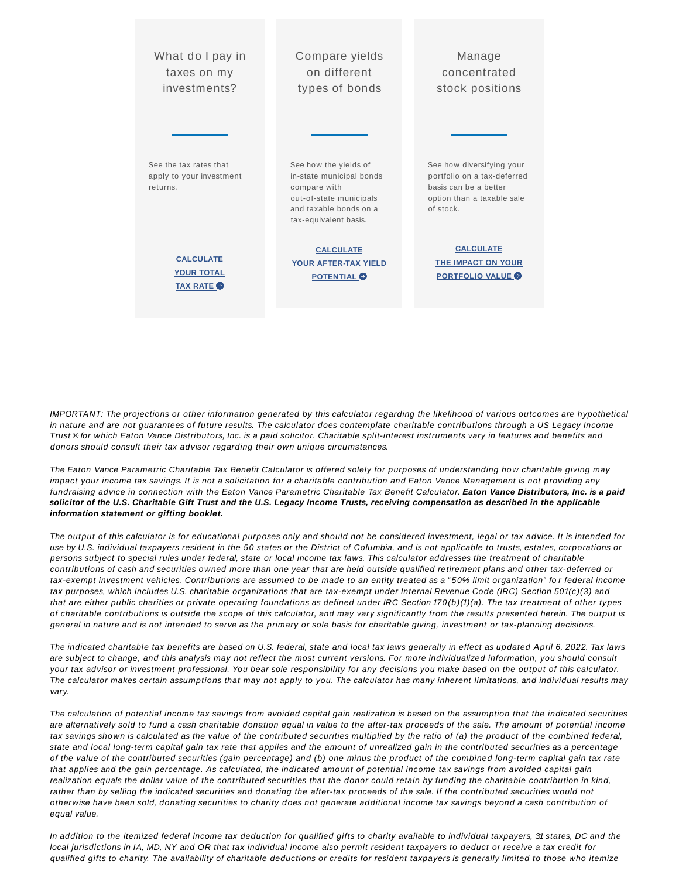| What do I pay in                                               | Compare yields                                                                                                                                  | Manage                                                                                                                       |
|----------------------------------------------------------------|-------------------------------------------------------------------------------------------------------------------------------------------------|------------------------------------------------------------------------------------------------------------------------------|
| taxes on my                                                    | on different                                                                                                                                    | concentrated                                                                                                                 |
| investments?                                                   | types of bonds                                                                                                                                  | stock positions                                                                                                              |
| See the tax rates that<br>apply to your investment<br>returns. | See how the yields of<br>in-state municipal bonds<br>compare with<br>out-of-state municipals<br>and taxable bonds on a<br>tax-equivalent basis. | See how diversifying your<br>portfolio on a tax-deferred<br>basis can be a better<br>option than a taxable sale<br>of stock. |
| <b>CALCULATE</b>                                               | <b>CALCULATE</b>                                                                                                                                | <b>CALCULATE</b>                                                                                                             |
| <b>YOUR TOTAL</b>                                              | <b>YOUR AFTER-TAX YIELD</b>                                                                                                                     | <b>THE IMPACT ON YOUR</b>                                                                                                    |
| <b>TAX RATE</b>                                                | <b>POTENTIAL</b>                                                                                                                                | <b>PORTFOLIO VALUE O</b>                                                                                                     |

IMPORTANT: The projections or other information generated by this calculator regarding the likelihood of various outcomes are hypothetical in nature and are not guarantees of future results. The calculator does contemplate charitable contributions through a US Legacy Income Trust ® for which Eaton Vance Distributors, Inc. is a paid solicitor. Charitable split-interest instruments vary in features and benefits and donors should consult their tax advisor regarding their own unique circumstances.

The Eaton Vance Parametric Charitable Tax Benefit Calculator is offered solely for purposes of understanding how charitable giving may impact your income tax savings. It is not a solicitation for a charitable contribution and Eaton Vance Management is not providing any fundraising advice in connection with the Eaton Vance Parametric Charitable Tax Benefit Calculator. **Eaton Vance Distributors, Inc. is a paid solicitor of the U.S. Charitable Gift Trust and the U.S. Legacy Income Trusts, receiving compensation as described in the applicable information statement or gifting booklet.**

The output of this calculator is for educational purposes only and should not be considered investment, legal or tax advice. It is intended for use by U.S. individual taxpayers resident in the 50 states or the District of Columbia, and is not applicable to trusts, estates, corporations or persons subject to special rules under federal, state or local income tax laws. This calculator addresses the treatment of charitable contributions of cash and securities owned more than one year that are held outside qualified retirement plans and other tax-deferred or tax-exempt investment vehicles. Contributions are assumed to be made to an entity treated as a " 50% limit organization" fo r federal income tax purposes, which includes U.S. charitable organizations that are tax-exempt under Internal Revenue Code (IRC) Section 501(c)(3) and that are either public charities or private operating foundations as defined under IRC Section 170(b)(1)(a). The tax treatment of other types of charitable contributions is outside the scope of this calculator, and may vary significantly from the results presented herein. The output is general in nature and is not intended to serve as the primary or sole basis for charitable giving, investment or tax-planning decisions.

The indicated charitable tax benefits are based on U.S. federal, state and local tax laws generally in effect as updated April 6, 2022. Tax laws are subject to change, and this analysis may not reflect the most current versions. For more individualized information, you should consult your tax advisor or investment professional. You bear sole responsibility for any decisions you make based on the output of this calculator. The calculator makes certain assumptions that may not apply to you. The calculator has many inherent limitations, and individual results may vary.

The calculation of potential income tax savings from avoided capital gain realization is based on the assumption that the indicated securities are alternatively sold to fund a cash charitable donation equal in value to the after-tax proceeds of the sale. The amount of potential income tax savings shown is calculated as the value of the contributed securities multiplied by the ratio of (a) the product of the combined federal, state and local long-term capital gain tax rate that applies and the amount of unrealized gain in the contributed securities as a percentage of the value of the contributed securities (gain percentage) and (b) one minus the product of the combined long-term capital gain tax rate that applies and the gain percentage. As calculated, the indicated amount of potential income tax savings from avoided capital gain realization equals the dollar value of the contributed securities that the donor could retain by funding the charitable contribution in kind, rather than by selling the indicated securities and donating the after-tax proceeds of the sale. If the contributed securities would not otherwise have been sold, donating securities to charity does not generate additional income tax savings beyond a cash contribution of equal value.

In addition to the itemized federal income tax deduction for qualified gifts to charity available to individual taxpayers, 31 states, DC and the local jurisdictions in IA, MD, NY and OR that tax individual income also permit resident taxpayers to deduct or receive a tax credit for qualified gifts to charity. The availability of charitable deductions or credits for resident taxpayers is generally limited to those who itemize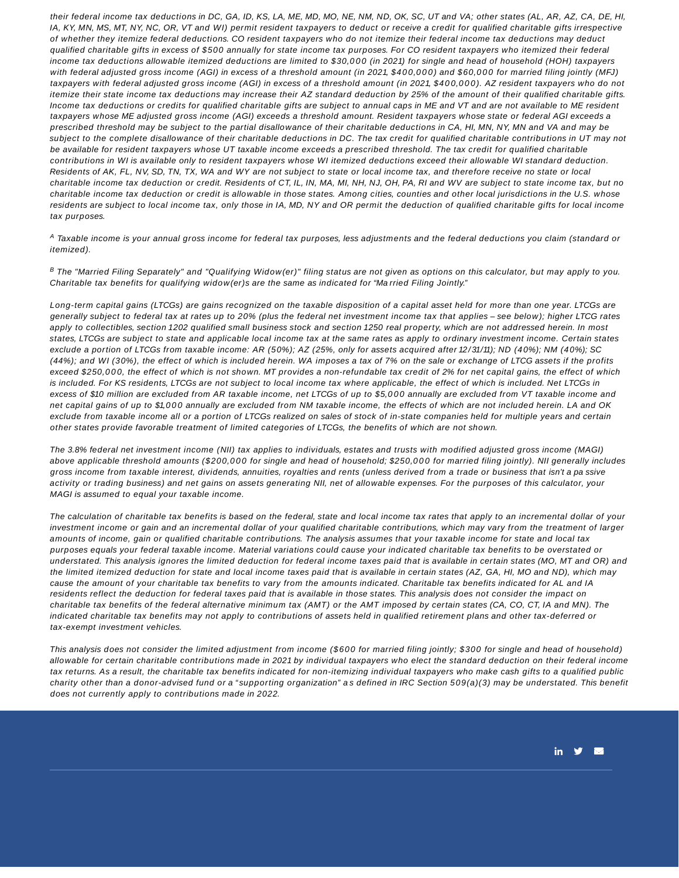their federal income tax deductions in DC, GA, ID, KS, LA, ME, MD, MO, NE, NM, ND, OK, SC, UT and VA; other states (AL, AR, AZ, CA, DE, HI, IA, KY, MN, MS, MT, NY, NC, OR, VT and WI) permit resident taxpayers to deduct or receive a credit for qualified charitable gifts irrespective of whether they itemize federal deductions. CO resident taxpayers who do not itemize their federal income tax deductions may deduct qualified charitable gifts in excess of \$500 annually for state income tax purposes. For CO resident taxpayers who itemized their federal income tax deductions allowable itemized deductions are limited to \$30,000 (in 2021) for single and head of household (HOH) taxpayers with federal adjusted gross income (AGI) in excess of a threshold amount (in 2021, \$400,000) and \$60,000 for married filing jointly (MFJ) taxpayers with federal adjusted gross income (AGI) in excess of a threshold amount (in 2021, \$400,000). AZ resident taxpayers who do not itemize their state income tax deductions may increase their AZ standard deduction by 25% of the amount of their qualified charitable gifts. Income tax deductions or credits for qualified charitable gifts are subject to annual caps in ME and VT and are not available to ME resident taxpayers whose ME adjusted gross income (AGI) exceeds a threshold amount. Resident taxpayers whose state or federal AGI exceeds a prescribed threshold may be subject to the partial disallowance of their charitable deductions in CA, HI, MN, NY, MN and VA and may be subject to the complete disallowance of their charitable deductions in DC. The tax credit for qualified charitable contributions in UT may not be available for resident taxpayers whose UT taxable income exceeds a prescribed threshold. The tax credit for qualified charitable contributions in WI is available only to resident taxpayers whose WI itemized deductions exceed their allowable WI standard deduction. Residents of AK, FL, NV, SD, TN, TX, WA and WY are not subject to state or local income tax, and therefore receive no state or local charitable income tax deduction or credit. Residents of CT, IL, IN, MA, MI, NH, NJ, OH, PA, RI and WV are subject to state income tax, but no charitable income tax deduction or credit is allowable in those states. Among cities, counties and other local jurisdictions in the U.S. whose residents are subject to local income tax, only those in IA, MD, NY and OR permit the deduction of qualified charitable gifts for local income tax purposes.

 $^{\text{A}}$  Taxable income is your annual gross income for federal tax purposes, less adjustments and the federal deductions you claim (standard or itemized).

 $^{\rm B}$  The "Married Filing Separately" and "Qualifying Widow(er)" filing status are not given as options on this calculator, but may apply to you. Charitable tax benefits for qualifying widow(er)s are the same as indicated for "Ma rried Filing Jointly."

Long-term capital gains (LTCGs) are gains recognized on the taxable disposition of a capital asset held for more than one year. LTCGs are generally subject to federal tax at rates up to 20% (plus the federal net investment income tax that applies – see below); higher LTCG rates apply to collectibles, section 1202 qualified small business stock and section 1250 real property, which are not addressed herein. In most states, LTCGs are subject to state and applicable local income tax at the same rates as apply to ordinary investment income. Certain states exclude a portion of LTCGs from taxable income: AR (50%); AZ (25%, only for assets acquired after 12/31/11); ND (40%); NM (40%); SC (44%); and WI (30%), the effect of which is included herein. WA imposes a tax of 7% on the sale or exchange of LTCG assets if the profits exceed \$250,000, the effect of which is not shown. MT provides a non-refundable tax credit of 2% for net capital gains, the effect of which is included. For KS residents, LTCGs are not subject to local income tax where applicable, the effect of which is included. Net LTCGs in excess of \$10 million are excluded from AR taxable income, net LTCGs of up to \$5,000 annually are excluded from VT taxable income and net capital gains of up to \$1,0 0 0 annually are excluded from NM taxable income, the effects of which are not included herein. LA and OK exclude from taxable income all or a portion of LTCGs realized on sales of stock of in-state companies held for multiple years and certain other states provide favorable treatment of limited categories of LTCGs, the benefits of which are not shown.

The 3.8% federal net investment income (NII) tax applies to individuals, estates and trusts with modified adjusted gross income (MAGI) above applicable threshold amounts (\$200,000 for single and head of household; \$250,000 for married filing jointly). NII generally includes gross income from taxable interest, dividends, annuities, royalties and rents (unless derived from a trade or business that isn't a pa ssive activity or trading business) and net gains on assets generating NII, net of allowable expenses. For the purposes of this calculator, your MAGI is assumed to equal your taxable income.

The calculation of charitable tax benefits is based on the federal, state and local income tax rates that apply to an incremental dollar of your investment income or gain and an incremental dollar of your qualified charitable contributions, which may vary from the treatment of larger amounts of income, gain or qualified charitable contributions. The analysis assumes that your taxable income for state and local tax purposes equals your federal taxable income. Material variations could cause your indicated charitable tax benefits to be overstated or understated. This analysis ignores the limited deduction for federal income taxes paid that is available in certain states (MO, MT and OR) and the limited itemized deduction for state and local income taxes paid that is available in certain states (AZ, GA, HI, MO and ND), which may cause the amount of your charitable tax benefits to vary from the amounts indicated. Charitable tax benefits indicated for AL and IA residents reflect the deduction for federal taxes paid that is available in those states. This analysis does not consider the impact on charitable tax benefits of the federal alternative minimum tax (AMT) or the AMT imposed by certain states (CA, CO, CT, IA and MN). The indicated charitable tax benefits may not apply to contributions of assets held in qualified retirement plans and other tax-deferred or tax-exempt investment vehicles.

This analysis does not consider the limited adjustment from income (\$600 for married filing jointly; \$300 for single and head of household) allowable for certain charitable contributions made in 2021 by individual taxpayers who elect the standard deduction on their federal income tax returns. As a result, the charitable tax benefits indicated for non-itemizing individual taxpayers who make cash gifts to a qualified public charity other than a donor-advised fund or a "supporting organization" as defined in IRC Section 509(a)(3) may be understated. This benefit does not currently apply to contributions made in 2022.

in  $\mathbf{y}$   $\blacksquare$